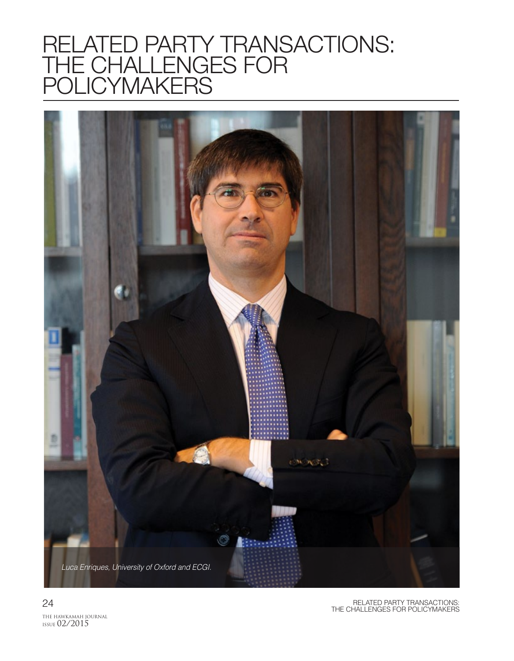# RELATED PARTY TRANSACTIONS: THE CHALLENGES FOR POLICYMAKERS

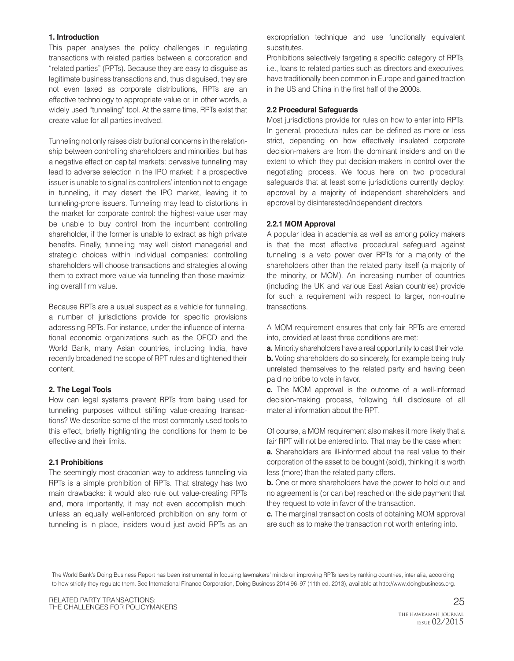#### **1. Introduction**

This paper analyses the policy challenges in regulating transactions with related parties between a corporation and "related parties" (RPTs). Because they are easy to disguise as legitimate business transactions and, thus disguised, they are not even taxed as corporate distributions, RPTs are an effective technology to appropriate value or, in other words, a widely used "tunneling" tool. At the same time, RPTs exist that create value for all parties involved.

Tunneling not only raises distributional concerns in the relationship between controlling shareholders and minorities, but has a negative effect on capital markets: pervasive tunneling may lead to adverse selection in the IPO market: if a prospective issuer is unable to signal its controllers' intention not to engage in tunneling, it may desert the IPO market, leaving it to tunneling-prone issuers. Tunneling may lead to distortions in the market for corporate control: the highest-value user may be unable to buy control from the incumbent controlling shareholder, if the former is unable to extract as high private benefits. Finally, tunneling may well distort managerial and strategic choices within individual companies: controlling shareholders will choose transactions and strategies allowing them to extract more value via tunneling than those maximizing overall firm value.

Because RPTs are a usual suspect as a vehicle for tunneling, a number of jurisdictions provide for specific provisions addressing RPTs. For instance, under the influence of international economic organizations such as the OECD and the World Bank, many Asian countries, including India, have recently broadened the scope of RPT rules and tightened their content.

## **2. The Legal Tools**

How can legal systems prevent RPTs from being used for tunneling purposes without stifling value-creating transactions? We describe some of the most commonly used tools to this effect, briefly highlighting the conditions for them to be effective and their limits.

## **2.1 Prohibitions**

The seemingly most draconian way to address tunneling via RPTs is a simple prohibition of RPTs. That strategy has two main drawbacks: it would also rule out value-creating RPTs and, more importantly, it may not even accomplish much: unless an equally well-enforced prohibition on any form of tunneling is in place, insiders would just avoid RPTs as an expropriation technique and use functionally equivalent substitutes.

Prohibitions selectively targeting a specific category of RPTs, i.e., loans to related parties such as directors and executives, have traditionally been common in Europe and gained traction in the US and China in the first half of the 2000s.

## **2.2 Procedural Safeguards**

Most jurisdictions provide for rules on how to enter into RPTs. In general, procedural rules can be defined as more or less strict, depending on how effectively insulated corporate decision-makers are from the dominant insiders and on the extent to which they put decision-makers in control over the negotiating process. We focus here on two procedural safeguards that at least some jurisdictions currently deploy: approval by a majority of independent shareholders and approval by disinterested/independent directors.

## **2.2.1 MOM Approval**

A popular idea in academia as well as among policy makers is that the most effective procedural safeguard against tunneling is a veto power over RPTs for a majority of the shareholders other than the related party itself (a majority of the minority, or MOM). An increasing number of countries (including the UK and various East Asian countries) provide for such a requirement with respect to larger, non-routine transactions.

A MOM requirement ensures that only fair RPTs are entered into, provided at least three conditions are met:

**a.** Minority shareholders have a real opportunity to cast their vote. **b.** Voting shareholders do so sincerely, for example being truly unrelated themselves to the related party and having been paid no bribe to vote in favor.

**c.** The MOM approval is the outcome of a well-informed decision-making process, following full disclosure of all material information about the RPT.

Of course, a MOM requirement also makes it more likely that a fair RPT will not be entered into. That may be the case when:

**a.** Shareholders are ill-informed about the real value to their corporation of the asset to be bought (sold), thinking it is worth less (more) than the related party offers.

**b.** One or more shareholders have the power to hold out and no agreement is (or can be) reached on the side payment that they request to vote in favor of the transaction.

**c.** The marginal transaction costs of obtaining MOM approval are such as to make the transaction not worth entering into.

The World Bank's Doing Business Report has been instrumental in focusing lawmakers' minds on improving RPTs laws by ranking countries, inter alia, according to how strictly they regulate them. See International Finance Corporation, Doing Business 2014 96-97 (11th ed. 2013), available at http://www.doingbusiness.org.